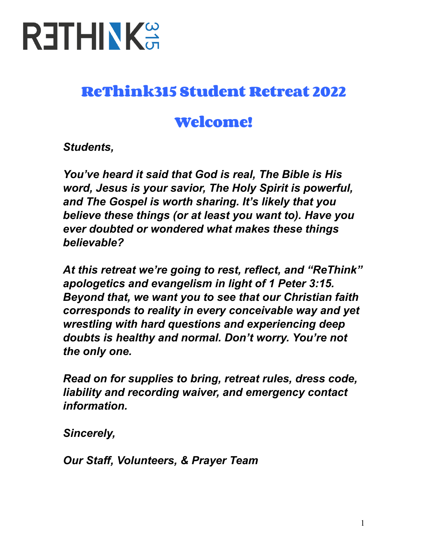

## **ReThink315 Student Retreat 2022**

## **Welcome!**

*Students,*

*You've heard it said that God is real, The Bible is His word, Jesus is your savior, The Holy Spirit is powerful, and The Gospel is worth sharing. It's likely that you believe these things (or at least you want to). Have you ever doubted or wondered what makes these things believable?*

*At this retreat we're going to rest, reflect, and "ReThink" apologetics and evangelism in light of 1 Peter 3:15. Beyond that, we want you to see that our Christian faith corresponds to reality in every conceivable way and yet wrestling with hard questions and experiencing deep doubts is healthy and normal. Don't worry. You're not the only one.*

*Read on for supplies to bring, retreat rules, dress code, liability and recording waiver, and emergency contact information.*

*Sincerely,*

*Our Staff, Volunteers, & Prayer Team*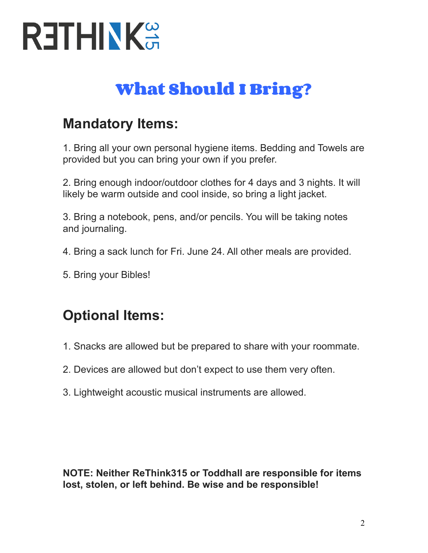

# **What Should I Bring?**

## **Mandatory Items:**

1. Bring all your own personal hygiene items. Bedding and Towels are provided but you can bring your own if you prefer.

2. Bring enough indoor/outdoor clothes for 4 days and 3 nights. It will likely be warm outside and cool inside, so bring a light jacket.

3. Bring a notebook, pens, and/or pencils. You will be taking notes and journaling.

- 4. Bring a sack lunch for Fri. June 24. All other meals are provided.
- 5. Bring your Bibles!

## **Optional Items:**

- 1. Snacks are allowed but be prepared to share with your roommate.
- 2. Devices are allowed but don't expect to use them very often.
- 3. Lightweight acoustic musical instruments are allowed.

**NOTE: Neither ReThink315 or Toddhall are responsible for items lost, stolen, or left behind. Be wise and be responsible!**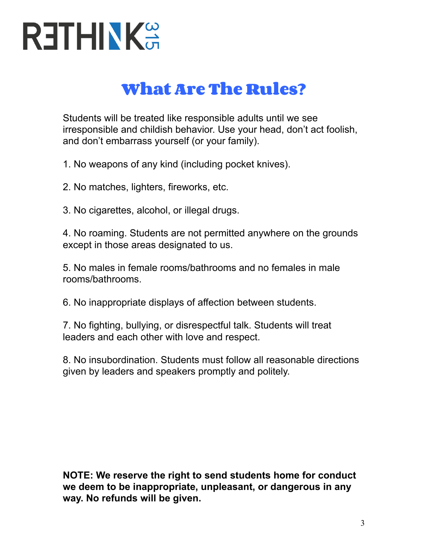

## **What Are The Rules?**

Students will be treated like responsible adults until we see irresponsible and childish behavior. Use your head, don't act foolish, and don't embarrass yourself (or your family).

1. No weapons of any kind (including pocket knives).

- 2. No matches, lighters, fireworks, etc.
- 3. No cigarettes, alcohol, or illegal drugs.

4. No roaming. Students are not permitted anywhere on the grounds except in those areas designated to us.

5. No males in female rooms/bathrooms and no females in male rooms/bathrooms.

6. No inappropriate displays of affection between students.

7. No fighting, bullying, or disrespectful talk. Students will treat leaders and each other with love and respect.

8. No insubordination. Students must follow all reasonable directions given by leaders and speakers promptly and politely.

**NOTE: We reserve the right to send students home for conduct we deem to be inappropriate, unpleasant, or dangerous in any way. No refunds will be given.**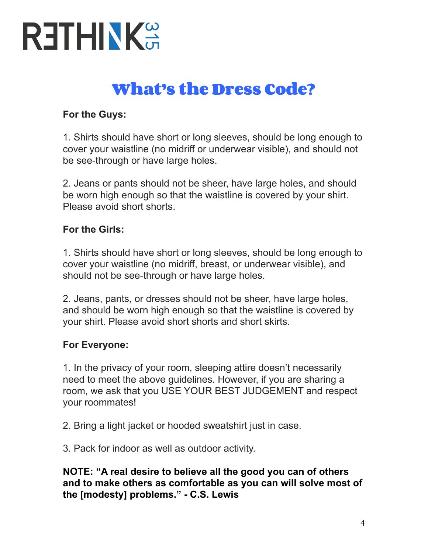# **RETHINKS**

# **What's the Dress Code?**

#### **For the Guys:**

1. Shirts should have short or long sleeves, should be long enough to cover your waistline (no midriff or underwear visible), and should not be see-through or have large holes.

2. Jeans or pants should not be sheer, have large holes, and should be worn high enough so that the waistline is covered by your shirt. Please avoid short shorts.

#### **For the Girls:**

1. Shirts should have short or long sleeves, should be long enough to cover your waistline (no midriff, breast, or underwear visible), and should not be see-through or have large holes.

2. Jeans, pants, or dresses should not be sheer, have large holes, and should be worn high enough so that the waistline is covered by your shirt. Please avoid short shorts and short skirts.

#### **For Everyone:**

1. In the privacy of your room, sleeping attire doesn't necessarily need to meet the above guidelines. However, if you are sharing a room, we ask that you USE YOUR BEST JUDGEMENT and respect your roommates!

2. Bring a light jacket or hooded sweatshirt just in case.

3. Pack for indoor as well as outdoor activity.

**NOTE: "A real desire to believe all the good you can of others and to make others as comfortable as you can will solve most of the [modesty] problems." - C.S. Lewis**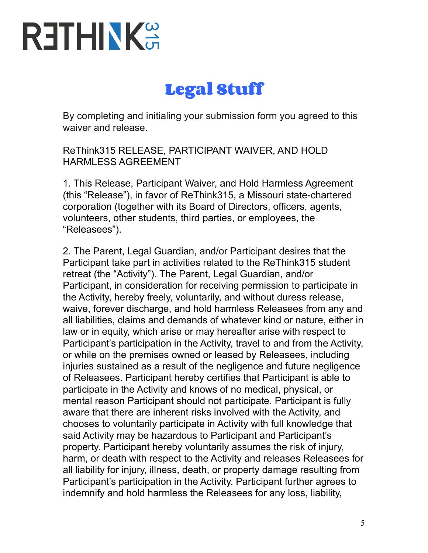# **RETHINKS**

# **Legal Stuff**

By completing and initialing your submission form you agreed to this waiver and release.

ReThink315 RELEASE, PARTICIPANT WAIVER, AND HOLD HARMLESS AGREEMENT

1. This Release, Participant Waiver, and Hold Harmless Agreement (this "Release"), in favor of ReThink315, a Missouri state-chartered corporation (together with its Board of Directors, officers, agents, volunteers, other students, third parties, or employees, the "Releasees").

2. The Parent, Legal Guardian, and/or Participant desires that the Participant take part in activities related to the ReThink315 student retreat (the "Activity"). The Parent, Legal Guardian, and/or Participant, in consideration for receiving permission to participate in the Activity, hereby freely, voluntarily, and without duress release, waive, forever discharge, and hold harmless Releasees from any and all liabilities, claims and demands of whatever kind or nature, either in law or in equity, which arise or may hereafter arise with respect to Participant's participation in the Activity, travel to and from the Activity, or while on the premises owned or leased by Releasees, including injuries sustained as a result of the negligence and future negligence of Releasees. Participant hereby certifies that Participant is able to participate in the Activity and knows of no medical, physical, or mental reason Participant should not participate. Participant is fully aware that there are inherent risks involved with the Activity, and chooses to voluntarily participate in Activity with full knowledge that said Activity may be hazardous to Participant and Participant's property. Participant hereby voluntarily assumes the risk of injury, harm, or death with respect to the Activity and releases Releasees for all liability for injury, illness, death, or property damage resulting from Participant's participation in the Activity. Participant further agrees to indemnify and hold harmless the Releasees for any loss, liability,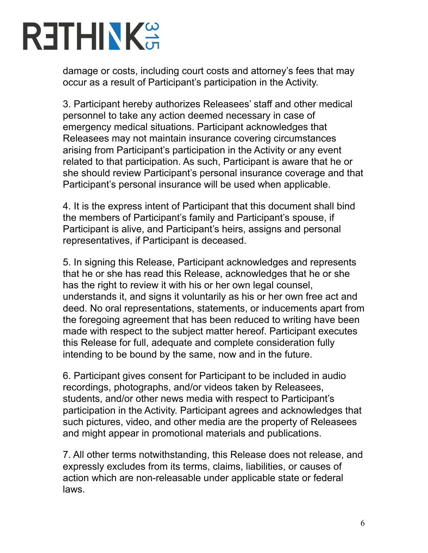# **RETHINKS**

damage or costs, including court costs and attorney's fees that may occur as a result of Participant's participation in the Activity.

3. Participant hereby authorizes Releasees' staff and other medical personnel to take any action deemed necessary in case of emergency medical situations. Participant acknowledges that Releasees may not maintain insurance covering circumstances arising from Participant's participation in the Activity or any event related to that participation. As such, Participant is aware that he or she should review Participant's personal insurance coverage and that Participant's personal insurance will be used when applicable.

4. It is the express intent of Participant that this document shall bind the members of Participant's family and Participant's spouse, if Participant is alive, and Participant's heirs, assigns and personal representatives, if Participant is deceased.

5. In signing this Release, Participant acknowledges and represents that he or she has read this Release, acknowledges that he or she has the right to review it with his or her own legal counsel, understands it, and signs it voluntarily as his or her own free act and deed. No oral representations, statements, or inducements apart from the foregoing agreement that has been reduced to writing have been made with respect to the subject matter hereof. Participant executes this Release for full, adequate and complete consideration fully intending to be bound by the same, now and in the future.

6. Participant gives consent for Participant to be included in audio recordings, photographs, and/or videos taken by Releasees, students, and/or other news media with respect to Participant's participation in the Activity. Participant agrees and acknowledges that such pictures, video, and other media are the property of Releasees and might appear in promotional materials and publications.

7. All other terms notwithstanding, this Release does not release, and expressly excludes from its terms, claims, liabilities, or causes of action which are non-releasable under applicable state or federal laws.